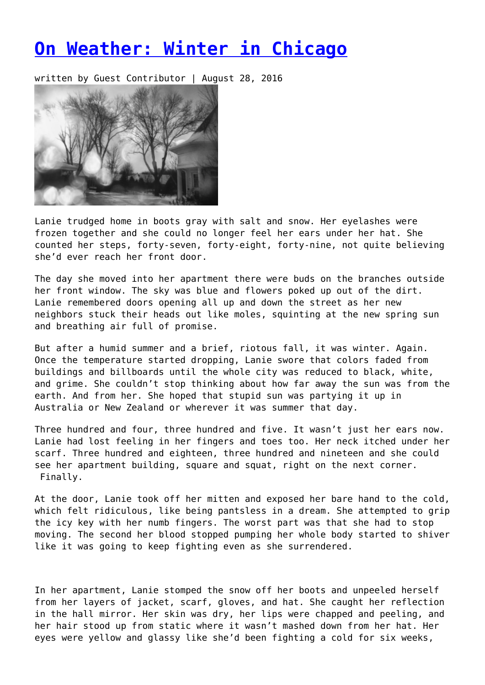## **[On Weather: Winter in Chicago](https://entropymag.org/on-weather-winter-in-chicago/)**

written by Guest Contributor | August 28, 2016



Lanie trudged home in boots gray with salt and snow. Her eyelashes were frozen together and she could no longer feel her ears under her hat. She counted her steps, forty-seven, forty-eight, forty-nine, not quite believing she'd ever reach her front door.

The day she moved into her apartment there were buds on the branches outside her front window. The sky was blue and flowers poked up out of the dirt. Lanie remembered doors opening all up and down the street as her new neighbors stuck their heads out like moles, squinting at the new spring sun and breathing air full of promise.

But after a humid summer and a brief, riotous fall, it was winter. Again. Once the temperature started dropping, Lanie swore that colors faded from buildings and billboards until the whole city was reduced to black, white, and grime. She couldn't stop thinking about how far away the sun was from the earth. And from her. She hoped that stupid sun was partying it up in Australia or New Zealand or wherever it was summer that day.

Three hundred and four, three hundred and five. It wasn't just her ears now. Lanie had lost feeling in her fingers and toes too. Her neck itched under her scarf. Three hundred and eighteen, three hundred and nineteen and she could see her apartment building, square and squat, right on the next corner. Finally.

At the door, Lanie took off her mitten and exposed her bare hand to the cold, which felt ridiculous, like being pantsless in a dream. She attempted to grip the icy key with her numb fingers. The worst part was that she had to stop moving. The second her blood stopped pumping her whole body started to shiver like it was going to keep fighting even as she surrendered.

In her apartment, Lanie stomped the snow off her boots and unpeeled herself from her layers of jacket, scarf, gloves, and hat. She caught her reflection in the hall mirror. Her skin was dry, her lips were chapped and peeling, and her hair stood up from static where it wasn't mashed down from her hat. Her eyes were yellow and glassy like she'd been fighting a cold for six weeks,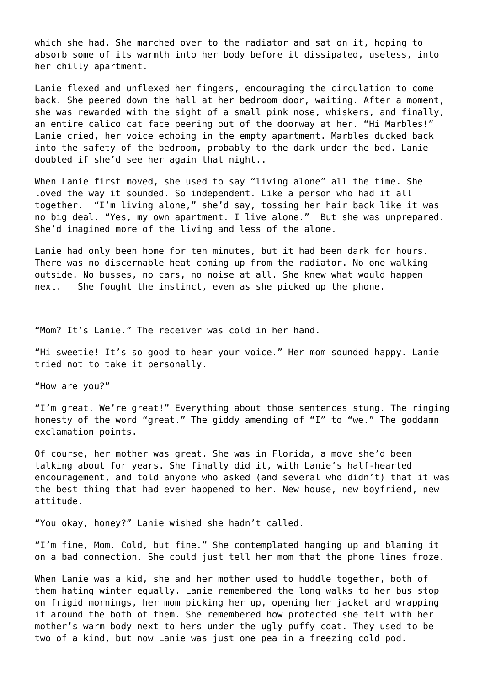which she had. She marched over to the radiator and sat on it, hoping to absorb some of its warmth into her body before it dissipated, useless, into her chilly apartment.

Lanie flexed and unflexed her fingers, encouraging the circulation to come back. She peered down the hall at her bedroom door, waiting. After a moment, she was rewarded with the sight of a small pink nose, whiskers, and finally, an entire calico cat face peering out of the doorway at her. "Hi Marbles!" Lanie cried, her voice echoing in the empty apartment. Marbles ducked back into the safety of the bedroom, probably to the dark under the bed. Lanie doubted if she'd see her again that night..

When Lanie first moved, she used to say "living alone" all the time. She loved the way it sounded. So independent. Like a person who had it all together. "I'm living alone," she'd say, tossing her hair back like it was no big deal. "Yes, my own apartment. I live alone." But she was unprepared. She'd imagined more of the living and less of the alone.

Lanie had only been home for ten minutes, but it had been dark for hours. There was no discernable heat coming up from the radiator. No one walking outside. No busses, no cars, no noise at all. She knew what would happen next. She fought the instinct, even as she picked up the phone.

"Mom? It's Lanie." The receiver was cold in her hand.

"Hi sweetie! It's so good to hear your voice." Her mom sounded happy. Lanie tried not to take it personally.

"How are you?"

"I'm great. We're great!" Everything about those sentences stung. The ringing honesty of the word "great." The giddy amending of "I" to "we." The goddamn exclamation points.

Of course, her mother was great. She was in Florida, a move she'd been talking about for years. She finally did it, with Lanie's half-hearted encouragement, and told anyone who asked (and several who didn't) that it was the best thing that had ever happened to her. New house, new boyfriend, new attitude.

"You okay, honey?" Lanie wished she hadn't called.

"I'm fine, Mom. Cold, but fine." She contemplated hanging up and blaming it on a bad connection. She could just tell her mom that the phone lines froze.

When Lanie was a kid, she and her mother used to huddle together, both of them hating winter equally. Lanie remembered the long walks to her bus stop on frigid mornings, her mom picking her up, opening her jacket and wrapping it around the both of them. She remembered how protected she felt with her mother's warm body next to hers under the ugly puffy coat. They used to be two of a kind, but now Lanie was just one pea in a freezing cold pod.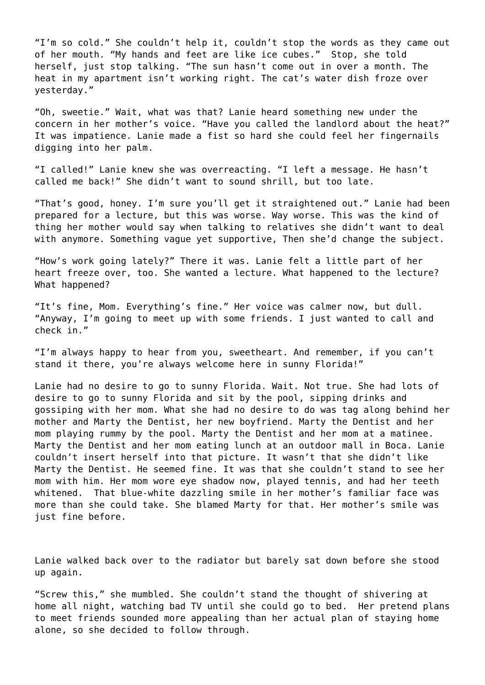"I'm so cold." She couldn't help it, couldn't stop the words as they came out of her mouth. "My hands and feet are like ice cubes." Stop, she told herself, just stop talking. "The sun hasn't come out in over a month. The heat in my apartment isn't working right. The cat's water dish froze over yesterday."

"Oh, sweetie." Wait, what was that? Lanie heard something new under the concern in her mother's voice. "Have you called the landlord about the heat?" It was impatience. Lanie made a fist so hard she could feel her fingernails digging into her palm.

"I called!" Lanie knew she was overreacting. "I left a message. He hasn't called me back!" She didn't want to sound shrill, but too late.

"That's good, honey. I'm sure you'll get it straightened out." Lanie had been prepared for a lecture, but this was worse. Way worse. This was the kind of thing her mother would say when talking to relatives she didn't want to deal with anymore. Something vague yet supportive, Then she'd change the subject.

"How's work going lately?" There it was. Lanie felt a little part of her heart freeze over, too. She wanted a lecture. What happened to the lecture? What happened?

"It's fine, Mom. Everything's fine." Her voice was calmer now, but dull. "Anyway, I'm going to meet up with some friends. I just wanted to call and check in."

"I'm always happy to hear from you, sweetheart. And remember, if you can't stand it there, you're always welcome here in sunny Florida!"

Lanie had no desire to go to sunny Florida. Wait. Not true. She had lots of desire to go to sunny Florida and sit by the pool, sipping drinks and gossiping with her mom. What she had no desire to do was tag along behind her mother and Marty the Dentist, her new boyfriend. Marty the Dentist and her mom playing rummy by the pool. Marty the Dentist and her mom at a matinee. Marty the Dentist and her mom eating lunch at an outdoor mall in Boca. Lanie couldn't insert herself into that picture. It wasn't that she didn't like Marty the Dentist. He seemed fine. It was that she couldn't stand to see her mom with him. Her mom wore eye shadow now, played tennis, and had her teeth whitened. That blue-white dazzling smile in her mother's familiar face was more than she could take. She blamed Marty for that. Her mother's smile was just fine before.

Lanie walked back over to the radiator but barely sat down before she stood up again.

"Screw this," she mumbled. She couldn't stand the thought of shivering at home all night, watching bad TV until she could go to bed. Her pretend plans to meet friends sounded more appealing than her actual plan of staying home alone, so she decided to follow through.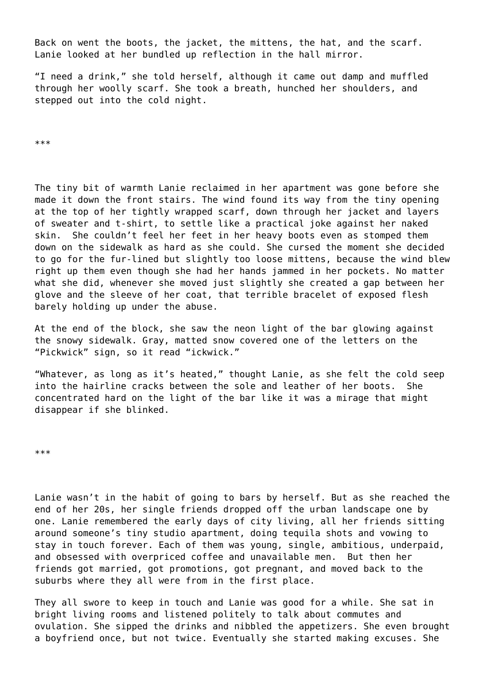Back on went the boots, the jacket, the mittens, the hat, and the scarf. Lanie looked at her bundled up reflection in the hall mirror.

"I need a drink," she told herself, although it came out damp and muffled through her woolly scarf. She took a breath, hunched her shoulders, and stepped out into the cold night.

\*\*\*

The tiny bit of warmth Lanie reclaimed in her apartment was gone before she made it down the front stairs. The wind found its way from the tiny opening at the top of her tightly wrapped scarf, down through her jacket and layers of sweater and t-shirt, to settle like a practical joke against her naked skin. She couldn't feel her feet in her heavy boots even as stomped them down on the sidewalk as hard as she could. She cursed the moment she decided to go for the fur-lined but slightly too loose mittens, because the wind blew right up them even though she had her hands jammed in her pockets. No matter what she did, whenever she moved just slightly she created a gap between her glove and the sleeve of her coat, that terrible bracelet of exposed flesh barely holding up under the abuse.

At the end of the block, she saw the neon light of the bar glowing against the snowy sidewalk. Gray, matted snow covered one of the letters on the "Pickwick" sign, so it read "ickwick."

"Whatever, as long as it's heated," thought Lanie, as she felt the cold seep into the hairline cracks between the sole and leather of her boots. She concentrated hard on the light of the bar like it was a mirage that might disappear if she blinked.

\*\*\*

Lanie wasn't in the habit of going to bars by herself. But as she reached the end of her 20s, her single friends dropped off the urban landscape one by one. Lanie remembered the early days of city living, all her friends sitting around someone's tiny studio apartment, doing tequila shots and vowing to stay in touch forever. Each of them was young, single, ambitious, underpaid, and obsessed with overpriced coffee and unavailable men. But then her friends got married, got promotions, got pregnant, and moved back to the suburbs where they all were from in the first place.

They all swore to keep in touch and Lanie was good for a while. She sat in bright living rooms and listened politely to talk about commutes and ovulation. She sipped the drinks and nibbled the appetizers. She even brought a boyfriend once, but not twice. Eventually she started making excuses. She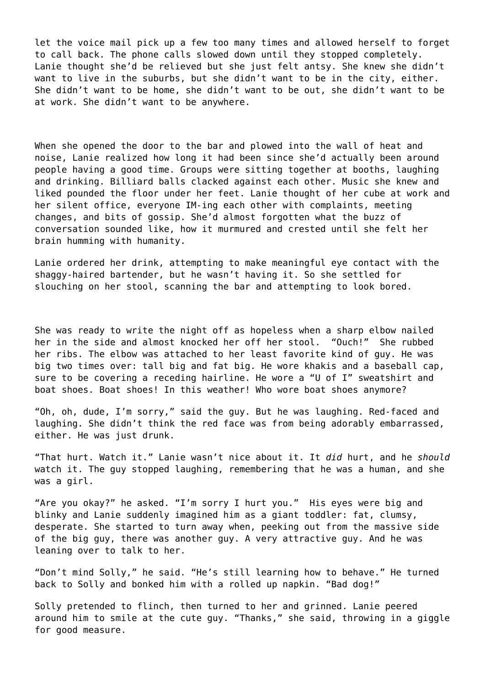let the voice mail pick up a few too many times and allowed herself to forget to call back. The phone calls slowed down until they stopped completely. Lanie thought she'd be relieved but she just felt antsy. She knew she didn't want to live in the suburbs, but she didn't want to be in the city, either. She didn't want to be home, she didn't want to be out, she didn't want to be at work. She didn't want to be anywhere.

When she opened the door to the bar and plowed into the wall of heat and noise, Lanie realized how long it had been since she'd actually been around people having a good time. Groups were sitting together at booths, laughing and drinking. Billiard balls clacked against each other. Music she knew and liked pounded the floor under her feet. Lanie thought of her cube at work and her silent office, everyone IM-ing each other with complaints, meeting changes, and bits of gossip. She'd almost forgotten what the buzz of conversation sounded like, how it murmured and crested until she felt her brain humming with humanity.

Lanie ordered her drink, attempting to make meaningful eye contact with the shaggy-haired bartender, but he wasn't having it. So she settled for slouching on her stool, scanning the bar and attempting to look bored.

She was ready to write the night off as hopeless when a sharp elbow nailed her in the side and almost knocked her off her stool. "Ouch!" She rubbed her ribs. The elbow was attached to her least favorite kind of guy. He was big two times over: tall big and fat big. He wore khakis and a baseball cap, sure to be covering a receding hairline. He wore a "U of I" sweatshirt and boat shoes. Boat shoes! In this weather! Who wore boat shoes anymore?

"Oh, oh, dude, I'm sorry," said the guy. But he was laughing. Red-faced and laughing. She didn't think the red face was from being adorably embarrassed, either. He was just drunk.

"That hurt. Watch it." Lanie wasn't nice about it. It *did* hurt, and he *should* watch it. The guy stopped laughing, remembering that he was a human, and she was a girl.

"Are you okay?" he asked. "I'm sorry I hurt you." His eyes were big and blinky and Lanie suddenly imagined him as a giant toddler: fat, clumsy, desperate. She started to turn away when, peeking out from the massive side of the big guy, there was another guy. A very attractive guy. And he was leaning over to talk to her.

"Don't mind Solly," he said. "He's still learning how to behave." He turned back to Solly and bonked him with a rolled up napkin. "Bad dog!"

Solly pretended to flinch, then turned to her and grinned. Lanie peered around him to smile at the cute guy. "Thanks," she said, throwing in a giggle for good measure.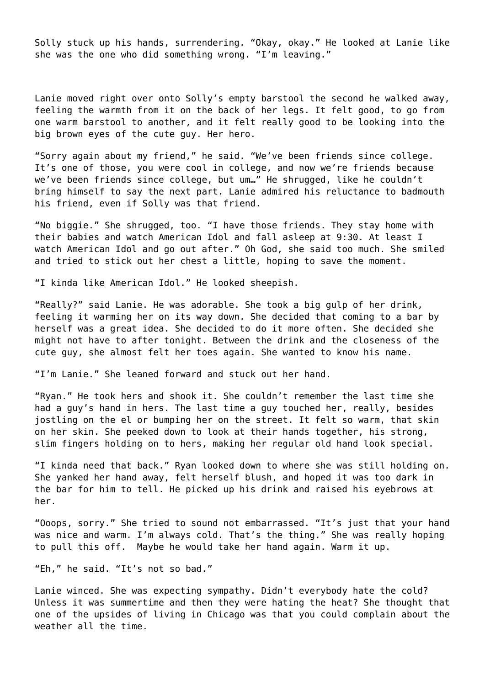Solly stuck up his hands, surrendering. "Okay, okay." He looked at Lanie like she was the one who did something wrong. "I'm leaving."

Lanie moved right over onto Solly's empty barstool the second he walked away, feeling the warmth from it on the back of her legs. It felt good, to go from one warm barstool to another, and it felt really good to be looking into the big brown eyes of the cute guy. Her hero.

"Sorry again about my friend," he said. "We've been friends since college. It's one of those, you were cool in college, and now we're friends because we've been friends since college, but um…" He shrugged, like he couldn't bring himself to say the next part. Lanie admired his reluctance to badmouth his friend, even if Solly was that friend.

"No biggie." She shrugged, too. "I have those friends. They stay home with their babies and watch American Idol and fall asleep at 9:30. At least I watch American Idol and go out after." Oh God, she said too much. She smiled and tried to stick out her chest a little, hoping to save the moment.

"I kinda like American Idol." He looked sheepish.

"Really?" said Lanie. He was adorable. She took a big gulp of her drink, feeling it warming her on its way down. She decided that coming to a bar by herself was a great idea. She decided to do it more often. She decided she might not have to after tonight. Between the drink and the closeness of the cute guy, she almost felt her toes again. She wanted to know his name.

"I'm Lanie." She leaned forward and stuck out her hand.

"Ryan." He took hers and shook it. She couldn't remember the last time she had a guy's hand in hers. The last time a guy touched her, really, besides jostling on the el or bumping her on the street. It felt so warm, that skin on her skin. She peeked down to look at their hands together, his strong, slim fingers holding on to hers, making her regular old hand look special.

"I kinda need that back." Ryan looked down to where she was still holding on. She yanked her hand away, felt herself blush, and hoped it was too dark in the bar for him to tell. He picked up his drink and raised his eyebrows at her.

"Ooops, sorry." She tried to sound not embarrassed. "It's just that your hand was nice and warm. I'm always cold. That's the thing." She was really hoping to pull this off. Maybe he would take her hand again. Warm it up.

"Eh," he said. "It's not so bad."

Lanie winced. She was expecting sympathy. Didn't everybody hate the cold? Unless it was summertime and then they were hating the heat? She thought that one of the upsides of living in Chicago was that you could complain about the weather all the time.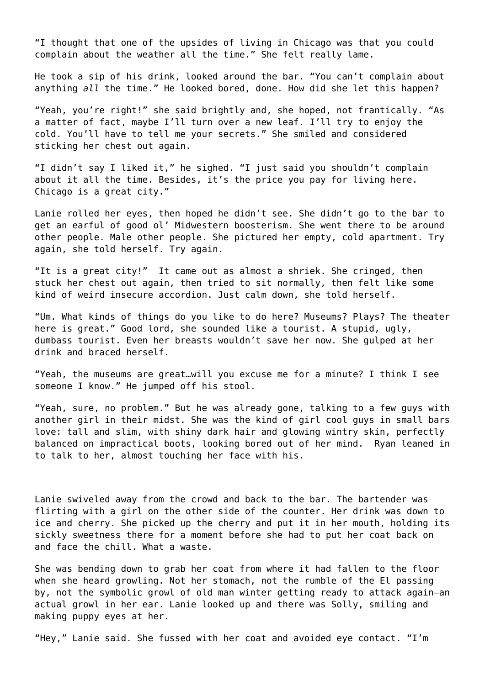"I thought that one of the upsides of living in Chicago was that you could complain about the weather all the time." She felt really lame.

He took a sip of his drink, looked around the bar. "You can't complain about anything *all* the time." He looked bored, done. How did she let this happen?

"Yeah, you're right!" she said brightly and, she hoped, not frantically. "As a matter of fact, maybe I'll turn over a new leaf. I'll try to enjoy the cold. You'll have to tell me your secrets." She smiled and considered sticking her chest out again.

"I didn't say I liked it," he sighed. "I just said you shouldn't complain about it all the time. Besides, it's the price you pay for living here. Chicago is a great city."

Lanie rolled her eyes, then hoped he didn't see. She didn't go to the bar to get an earful of good ol' Midwestern boosterism. She went there to be around other people. Male other people. She pictured her empty, cold apartment. Try again, she told herself. Try again.

"It is a great city!" It came out as almost a shriek. She cringed, then stuck her chest out again, then tried to sit normally, then felt like some kind of weird insecure accordion. Just calm down, she told herself.

"Um. What kinds of things do you like to do here? Museums? Plays? The theater here is great." Good lord, she sounded like a tourist. A stupid, ugly, dumbass tourist. Even her breasts wouldn't save her now. She gulped at her drink and braced herself.

"Yeah, the museums are great…will you excuse me for a minute? I think I see someone I know." He jumped off his stool.

"Yeah, sure, no problem." But he was already gone, talking to a few guys with another girl in their midst. She was the kind of girl cool guys in small bars love: tall and slim, with shiny dark hair and glowing wintry skin, perfectly balanced on impractical boots, looking bored out of her mind. Ryan leaned in to talk to her, almost touching her face with his.

Lanie swiveled away from the crowd and back to the bar. The bartender was flirting with a girl on the other side of the counter. Her drink was down to ice and cherry. She picked up the cherry and put it in her mouth, holding its sickly sweetness there for a moment before she had to put her coat back on and face the chill. What a waste.

She was bending down to grab her coat from where it had fallen to the floor when she heard growling. Not her stomach, not the rumble of the El passing by, not the symbolic growl of old man winter getting ready to attack again—an actual growl in her ear. Lanie looked up and there was Solly, smiling and making puppy eyes at her.

"Hey," Lanie said. She fussed with her coat and avoided eye contact. "I'm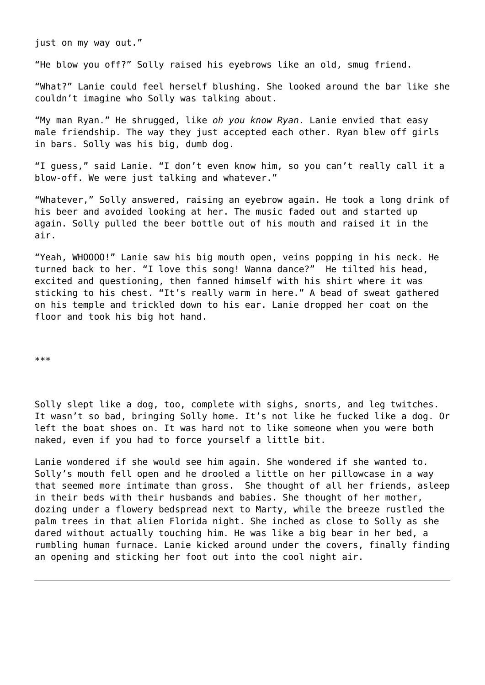just on my way out."

"He blow you off?" Solly raised his eyebrows like an old, smug friend.

"What?" Lanie could feel herself blushing. She looked around the bar like she couldn't imagine who Solly was talking about.

"My man Ryan." He shrugged, like *oh you know Ryan*. Lanie envied that easy male friendship. The way they just accepted each other. Ryan blew off girls in bars. Solly was his big, dumb dog.

"I guess," said Lanie. "I don't even know him, so you can't really call it a blow-off. We were just talking and whatever."

"Whatever," Solly answered, raising an eyebrow again. He took a long drink of his beer and avoided looking at her. The music faded out and started up again. Solly pulled the beer bottle out of his mouth and raised it in the air.

"Yeah, WHOOOO!" Lanie saw his big mouth open, veins popping in his neck. He turned back to her. "I love this song! Wanna dance?" He tilted his head, excited and questioning, then fanned himself with his shirt where it was sticking to his chest. "It's really warm in here." A bead of sweat gathered on his temple and trickled down to his ear. Lanie dropped her coat on the floor and took his big hot hand.

\*\*\*

Solly slept like a dog, too, complete with sighs, snorts, and leg twitches. It wasn't so bad, bringing Solly home. It's not like he fucked like a dog. Or left the boat shoes on. It was hard not to like someone when you were both naked, even if you had to force yourself a little bit.

Lanie wondered if she would see him again. She wondered if she wanted to. Solly's mouth fell open and he drooled a little on her pillowcase in a way that seemed more intimate than gross. She thought of all her friends, asleep in their beds with their husbands and babies. She thought of her mother, dozing under a flowery bedspread next to Marty, while the breeze rustled the palm trees in that alien Florida night. She inched as close to Solly as she dared without actually touching him. He was like a big bear in her bed, a rumbling human furnace. Lanie kicked around under the covers, finally finding an opening and sticking her foot out into the cool night air.